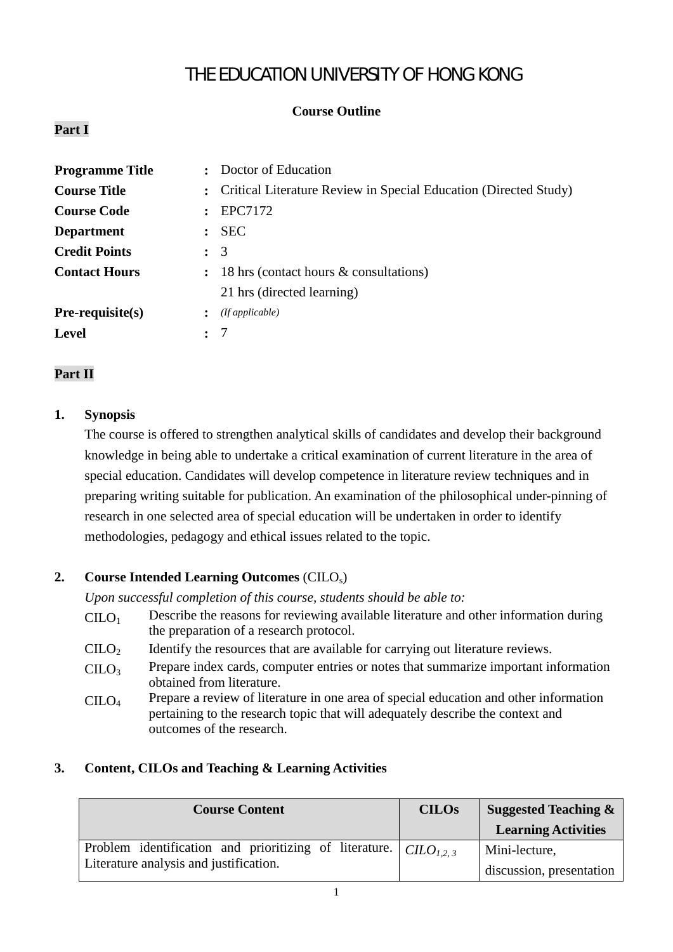# THE EDUCATION UNIVERSITY OF HONG KONG

# **Course Outline**

# **Part I**

| <b>Programme Title</b> |                      | Doctor of Education                                              |
|------------------------|----------------------|------------------------------------------------------------------|
| <b>Course Title</b>    | $\ddot{\phantom{a}}$ | Critical Literature Review in Special Education (Directed Study) |
| <b>Course Code</b>     |                      | EPC7172                                                          |
| <b>Department</b>      | $\mathbf{L}$         | <b>SEC</b>                                                       |
| <b>Credit Points</b>   |                      | $\colon$ 3                                                       |
| <b>Contact Hours</b>   | $\ddot{\cdot}$       | 18 hrs (contact hours & consultations)                           |
|                        |                      | 21 hrs (directed learning)                                       |
| $Pre-requisite(s)$     | $\ddot{\phantom{a}}$ | (If applicable)                                                  |
| <b>Level</b>           |                      |                                                                  |

## **Part II**

## **1. Synopsis**

The course is offered to strengthen analytical skills of candidates and develop their background knowledge in being able to undertake a critical examination of current literature in the area of special education. Candidates will develop competence in literature review techniques and in preparing writing suitable for publication. An examination of the philosophical under-pinning of research in one selected area of special education will be undertaken in order to identify methodologies, pedagogy and ethical issues related to the topic.

## **2. Course Intended Learning Outcomes** (CILOs)

*Upon successful completion of this course, students should be able to:*

- $C I L O<sub>1</sub>$  Describe the reasons for reviewing available literature and other information during the preparation of a research protocol.
- $C I L O<sub>2</sub>$  Identify the resources that are available for carrying out literature reviews.
- $CILO<sub>3</sub>$ Prepare index cards, computer entries or notes that summarize important information obtained from literature.
- CILO<sub>4</sub> Prepare a review of literature in one area of special education and other information pertaining to the research topic that will adequately describe the context and outcomes of the research.

## **3. Content, CILOs and Teaching & Learning Activities**

| <b>Course Content</b>                                                                | <b>CILOs</b> | Suggested Teaching $\&$    |  |
|--------------------------------------------------------------------------------------|--------------|----------------------------|--|
|                                                                                      |              | <b>Learning Activities</b> |  |
| Problem identification and prioritizing of literature. $\vert$ CILO <sub>1,2,3</sub> |              | Mini-lecture,              |  |
| Literature analysis and justification.                                               |              | discussion, presentation   |  |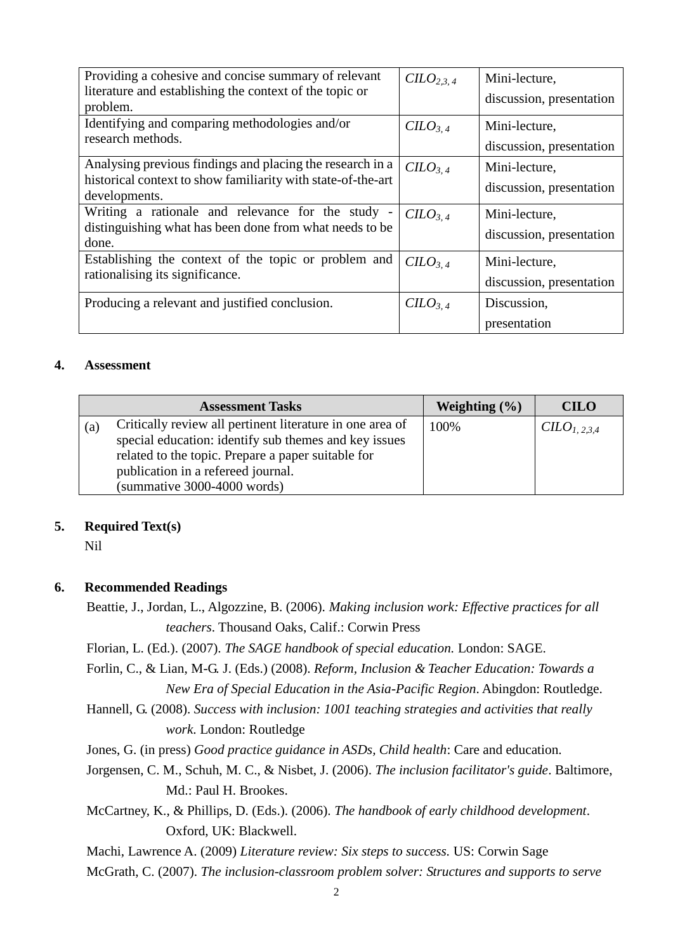| Providing a cohesive and concise summary of relevant<br>literature and establishing the context of the topic or<br>problem.                | C <sub>2.3.4</sub>              | Mini-lecture,<br>discussion, presentation |
|--------------------------------------------------------------------------------------------------------------------------------------------|---------------------------------|-------------------------------------------|
| Identifying and comparing methodologies and/or<br>research methods.                                                                        | $CILO_{3.4}$                    | Mini-lecture,<br>discussion, presentation |
| Analysing previous findings and placing the research in a<br>historical context to show familiarity with state-of-the-art<br>developments. | $CILO_{3.4}$                    | Mini-lecture,<br>discussion, presentation |
| Writing a rationale and relevance for the study -<br>distinguishing what has been done from what needs to be<br>done.                      | $C4$                            | Mini-lecture,<br>discussion, presentation |
| Establishing the context of the topic or problem and<br>rationalising its significance.                                                    | $C$                             | Mini-lecture,<br>discussion, presentation |
| Producing a relevant and justified conclusion.                                                                                             | C <sub>1</sub> O <sub>3.4</sub> | Discussion,<br>presentation               |

#### **4. Assessment**

| <b>Assessment Tasks</b> |                                                                                                                                                                                                                                               | Weighting $(\% )$ | <b>CILO</b>              |
|-------------------------|-----------------------------------------------------------------------------------------------------------------------------------------------------------------------------------------------------------------------------------------------|-------------------|--------------------------|
| (a)                     | Critically review all pertinent literature in one area of<br>special education: identify sub themes and key issues<br>related to the topic. Prepare a paper suitable for<br>publication in a refereed journal.<br>(summative 3000-4000 words) | 100%              | CILO <sub>1, 2.3.4</sub> |

#### **5. Required Text(s)**

Nil

### **6. Recommended Readings**

- Beattie, J., Jordan, L., Algozzine, B. (2006). *Making inclusion work: Effective practices for all teachers*. Thousand Oaks, Calif.: Corwin Press
- Florian, L. (Ed.). (2007). *The SAGE handbook of special education.* London: SAGE.
- Forlin, C., & Lian, M-G. J. (Eds.) (2008). *Reform, Inclusion & Teacher Education: Towards a New Era of Special Education in the Asia-Pacific Region*. Abingdon: Routledge.
- Hannell, G. (2008). *Success with inclusion: 1001 teaching strategies and activities that really work*. London: Routledge
- Jones, G. (in press) *Good practice guidance in ASDs, Child health*: Care and education.
- Jorgensen, C. M., Schuh, M. C., & Nisbet, J. (2006). *The inclusion facilitator's guide*. Baltimore, Md.: Paul H. Brookes.
- McCartney, K., & Phillips, D. (Eds.). (2006). *The handbook of early childhood development*. Oxford, UK: Blackwell.
- Machi, Lawrence A. (2009) *Literature review: Six steps to success.* US: Corwin Sage

McGrath, C. (2007). *The inclusion-classroom problem solver: Structures and supports to serve*